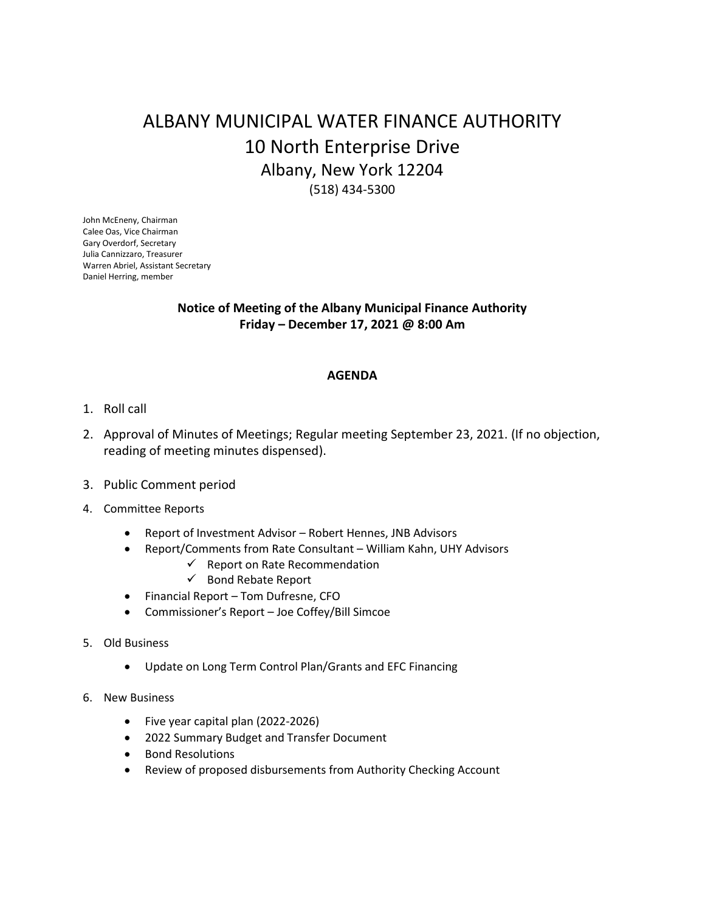## ALBANY MUNICIPAL WATER FINANCE AUTHORITY 10 North Enterprise Drive Albany, New York 12204 (518) 434-5300

John McEneny, Chairman Calee Oas, Vice Chairman Gary Overdorf, Secretary Julia Cannizzaro, Treasurer Warren Abriel, Assistant Secretary Daniel Herring, member

## **Notice of Meeting of the Albany Municipal Finance Authority Friday – December 17, 2021 @ 8:00 Am**

## **AGENDA**

- 1. Roll call
- 2. Approval of Minutes of Meetings; Regular meeting September 23, 2021. (If no objection, reading of meeting minutes dispensed).
- 3. Public Comment period
- 4. Committee Reports
	- Report of Investment Advisor Robert Hennes, JNB Advisors
	- Report/Comments from Rate Consultant William Kahn, UHY Advisors
		- $\checkmark$  Report on Rate Recommendation
			- $\checkmark$  Bond Rebate Report
	- Financial Report Tom Dufresne, CFO
	- Commissioner's Report Joe Coffey/Bill Simcoe
- 5. Old Business
	- Update on Long Term Control Plan/Grants and EFC Financing
- 6. New Business
	- Five year capital plan (2022-2026)
	- 2022 Summary Budget and Transfer Document
	- **•** Bond Resolutions
	- Review of proposed disbursements from Authority Checking Account